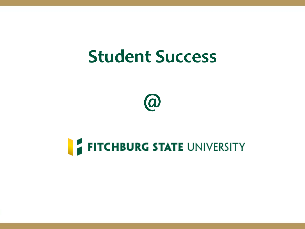# **Student Success**



# **FITCHBURG STATE UNIVERSITY**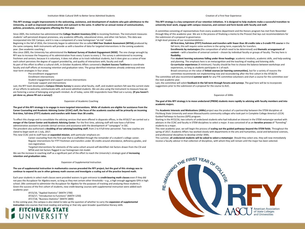### **This RFY strategy sought improvements in the welcoming, assistance, and development of students who gain admittance to the University, as well as improved communication and outreach to the same. It called for an annual review of communication, policies, procedures, and programs affecting the first year.**

Since 2005, the institution has administered the **College Student Inventory (CSI)** to incoming freshmen. The instrument measures students' self-perceived dropout proneness, any academic difficulty, educational stress, and other risk factors. This data was incorporated into SSC Campus, and it is now a component of a new homegrown "at-risk" model.

Beginning in the fall of 2016, the University began to administer the so-called **Mid-Year Student Assessment (MYSA)** produced by the same company. Both instruments will provide us with a baseline of data for targeted interventions in the coming academic year. (See academic coaching.)

Also since 2005, the University has administered the **National Survey of Student Engagement (NSSE)**. The one change wrought by RFY was to increase the frequency of its administration from every 3 years to every 2. The survey is administered to incoming freshmen and seniors; because it is voluntary, it does not allow us to track individual students, but it does give us a sense of how each cohort perceives the degree of support provided by, and quality of interactions with, faculty and staff.

As part of this effort to effect a cultural shift, in October Academic Affairs convened a **Student Success Taskforce** to coordinate faculty and staff efforts at increasing retention and graduation rates. The group identified initiatives already underway and new near-term strategies in four areas:

> Pre-enrollment engagement Enrollment interventions Student engagement and support services interventions

Curricular support and interventions

Last, the RFY team developed a **Campus Climate Survey** to assess what faculty, staff, and student workers felt was the current state of our efforts to welcome, communicate with, and assist admitted students. We are also using the instrument to measure how we are fostering a sense of belonging and growth mindset. As of today, some 200 respondents have filled out a survey. **(If you haven't yet done so, please fill out a survey!)** 

#### Expansion of Academic Coaching

**The goal of this RFY strategy is to engage in more targeted interventions. While all students are eligible for assistance from the Career Counseling and Academic Advising Center (CCAC) staff, the focus of the academic coaches will be primarily on incoming first-time, full-time (FTFT) students and transfers with fewer than 30 credits.** 

To effect this change and to consolidate the advising services that were offered in disparate offices, in the AY16/17 we carried out a **merger of the Career Center and Academic Advising Center**. For the first time, advising staff will now have a full-time administrative assistant to provide clerical services and assistance with the development of "campaigns" in SSC. The president also authorized a **doubling of our advising/coaching staff**, from 2 to 4 full-time personnel. Two new coaches are slated to begin work on 1 July, 2017.

This new CCAC and its staff have an **expanded mission**, with particular emphasis on:

Career counseling from the first year that is scaffolded through the remainder of a student's college career. Regular interventions for FTFT freshmen and transfers under 30 credits around attendance, deficiency grades, and non-registration.

Targeted interventions for elements of the same cohort around self-identified risk factors drawn from the CSI and MYSA and risk factors flagged in our homegrown risk model.

We see the increase in coaching staff as a significant part of the effort to reach the University's strategic goal of **increasing retention and graduation rates**.

#### Expansion of Supplemental Instruction

### **The use of supplemental instruction in mathematics courses preceded the RFY project, but the goal of this strategy was to continue to expand its use in other gateway math courses and investigate a scaling out of the practice beyond math.**

Each year students in select math classes were provided waivers to gain entrance to **credit-bearing math classes** even if they did school. (We continued to administer the Accuplacer for Algebra for the purposes of tracking and analyzing these students.) Given the success of the first cohort of students, new credit-bearing courses with supplemental instruction were added each academic year:

> AY15/16, "Applied Statistics" (MATH 1700) AY16/17, "Introduction to Functions" (MATH 1250) AY17/18, "Business Statistics" (MATH 1800)

In the coming year, the campus is also slated to take up the question of whether to carry the **expansion of supplemental instruction** into courses that treat reading and writing or that rely upon broader quantitative literacy skills

## **FITCHBURG STATE** UNIVERSITY

#### Creation of a First-Year Experience

#### **This RFY strategy is a key component of our retention initiatives. It is designed to help students make a successful transition to university-level work, engage with campus resources, and connect and form bonds with faculty and staff.**

A committee consisting of representatives from every academic department and the Honors program has met from November through May of this academic year. We are in the process of finalizing a memo to the Provost that lays out recommendations for the submission of a proposal to governance.

A high-level preview of our recommendations :

**All first-time, full-time (FTFT) freshmen and transfers with fewer than 30 credits take a 3-credit FYE course** in the fall term; this will require some sections in the spring term, especially for transfers.

**Enrollments by metamajors** (the composition of which need to be determined) and **thematic arrangement of content** – with a baseline of universal content – chosen by individual faculty or groups of faculty. The key here is **flexibility**.

Five **student learning outcomes falling under three headings**: academic mindsets, academic skills, and help-seeking and planning. The emphasis here is on metacognition and the teaching of reading and listening skills. **Co-curricular experiences** (4 minimum). Faculty should be free to choose the balance between workshops and experiences, so long as students participate in 1 of each.

Broad consensus on the value of **linked courses (or learning communities)**, but for a variety of reasons the committee recommends not implementing now and reconsidering after the first cohort in the AY18/19.

The committee will also recommend **summer work** for any FYE committee volunteers and chart a course for the committee over the next academic year.

Last, the committee will solicit **feedback in the fall term through forums and surveys**. The goal here will be to incorporate suggestions prior to the submission of a proposal for the course to AUC.

#### Expansion of AIMs

**The goal of this RFY strategy is to move undeclared (PREM) students more rapidly to advising with faculty members and into academic majors.** 

The **Academic Interests and Motivations (AIMs)** project was the product of a partnership between the STEM disciplines at Fitchburg State University and seven Massachusetts community colleges who took part in Complete College America's (CCA) Guided Pathways to Success (GPS) program.

Starting in the AY15/16, two cohorts of undeclared students who had indicated an interest in the STEM metamajor worked with advisors in the CCAC and faculty in STEM disciplines to select a major. It was conceived of as an **iterative process** of "funneling" students to a major.

This next academic year, we will begin the process of **scaling out the guided pathways beyond the STEM fields**. Throughout the spring of 2017, Academic Affairs has worked closely with departments in the arts and humanities, social and behavioral sciences, and professional disciplines to develop similar AIMs.

This summer, **all undeclared students will be asked to select a metamajor**. Should they select one, they will now immediately receive a faculty advisor in that collection of disciplines, with whom they will remain until the major has been selected.

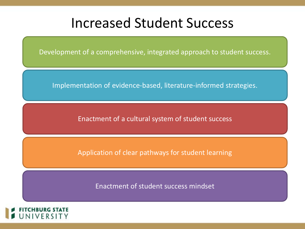

Development of a comprehensive, integrated approach to student success.

Implementation of evidence-based, literature-informed strategies.

Enactment of a cultural system of student success

Application of clear pathways for student learning

Enactment of student success mindset

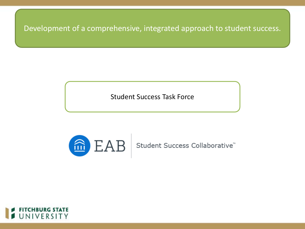



 $\mid$   $\text{EAB}\mid$  Student Success Collaborative $\degree$ 

Student Success Task Force

Development of a comprehensive, integrated approach to student success.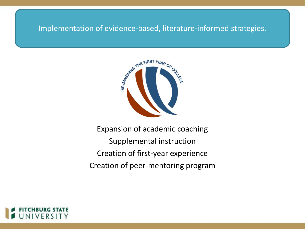## Implementation of evidence-based, literature-informed strategies.



Expansion of academic coaching Supplemental instruction Creation of first-year experience Creation of peer-mentoring program

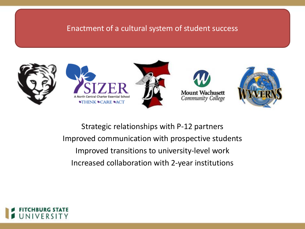# Enactment of a cultural system of student success



Strategic relationships with P-12 partners Improved communication with prospective students Improved transitions to university-level work Increased collaboration with 2-year institutions

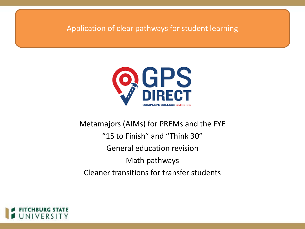Application of clear pathways for student learning



# Metamajors (AIMs) for PREMs and the FYE "15 to Finish" and "Think 30" General education revision Math pathways Cleaner transitions for transfer students

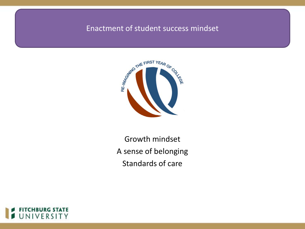# Enactment of student success mindset



Growth mindset A sense of belonging Standards of care

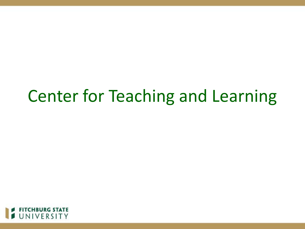

# Center for Teaching and Learning